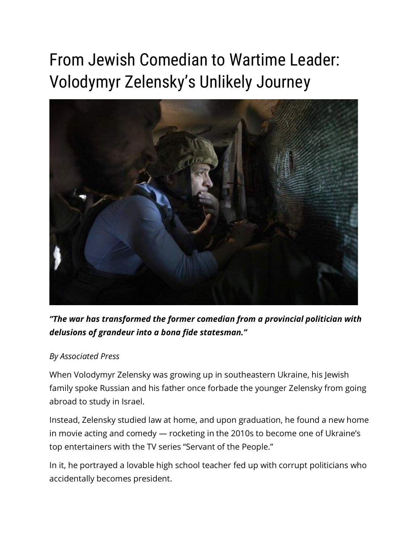# From Jewish Comedian to Wartime Leader: Volodymyr Zelensky's Unlikely Journey



*"The war has transformed the former comedian from a provincial politician with delusions of grandeur into a bona fide statesman."*

#### *By Associated Press*

When Volodymyr Zelensky was growing up in southeastern Ukraine, his Jewish family spoke Russian and his father once forbade the younger Zelensky from going abroad to study in Israel.

Instead, Zelensky studied law at home, and upon graduation, he found a new home in movie acting and comedy — rocketing in the 2010s to become one of Ukraine's top entertainers with the TV series "Servant of the People."

In it, he portrayed a lovable high school teacher fed up with corrupt politicians who accidentally becomes president.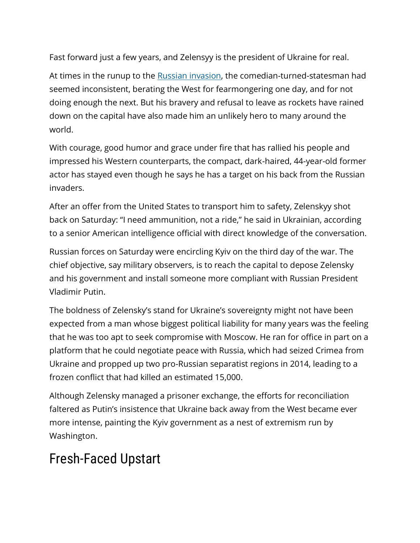Fast forward just a few years, and Zelensyy is the president of Ukraine for real.

At times in the runup to the [Russian invasion,](https://unitedwithisrael.org/jewish-news-you-must-know-about-the-russia-ukraine-war/) the comedian-turned-statesman had seemed inconsistent, berating the West for fearmongering one day, and for not doing enough the next. But his bravery and refusal to leave as rockets have rained down on the capital have also made him an unlikely hero to many around the world.

With courage, good humor and grace under fire that has rallied his people and impressed his Western counterparts, the compact, dark-haired, 44-year-old former actor has stayed even though he says he has a target on his back from the Russian invaders.

After an offer from the United States to transport him to safety, Zelenskyy shot back on Saturday: "I need ammunition, not a ride," he said in Ukrainian, according to a senior American intelligence official with direct knowledge of the conversation.

Russian forces on Saturday were encircling Kyiv on the third day of the war. The chief objective, say military observers, is to reach the capital to depose Zelensky and his government and install someone more compliant with Russian President Vladimir Putin.

The boldness of Zelensky's stand for Ukraine's sovereignty might not have been expected from a man whose biggest political liability for many years was the feeling that he was too apt to seek compromise with Moscow. He ran for office in part on a platform that he could negotiate peace with Russia, which had seized Crimea from Ukraine and propped up two pro-Russian separatist regions in 2014, leading to a frozen conflict that had killed an estimated 15,000.

Although Zelensky managed a prisoner exchange, the efforts for reconciliation faltered as Putin's insistence that Ukraine back away from the West became ever more intense, painting the Kyiv government as a nest of extremism run by Washington.

## Fresh-Faced Upstart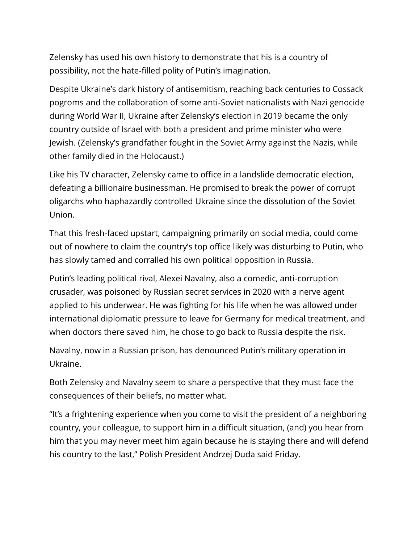Zelensky has used his own history to demonstrate that his is a country of possibility, not the hate-filled polity of Putin's imagination.

Despite Ukraine's dark history of antisemitism, reaching back centuries to Cossack pogroms and the collaboration of some anti-Soviet nationalists with Nazi genocide during World War II, Ukraine after Zelensky's election in 2019 became the only country outside of Israel with both a president and prime minister who were Jewish. (Zelensky's grandfather fought in the Soviet Army against the Nazis, while other family died in the Holocaust.)

Like his TV character, Zelensky came to office in a landslide democratic election, defeating a billionaire businessman. He promised to break the power of corrupt oligarchs who haphazardly controlled Ukraine since the dissolution of the Soviet Union.

That this fresh-faced upstart, campaigning primarily on social media, could come out of nowhere to claim the country's top office likely was disturbing to Putin, who has slowly tamed and corralled his own political opposition in Russia.

Putin's leading political rival, Alexei Navalny, also a comedic, anti-corruption crusader, was poisoned by Russian secret services in 2020 with a nerve agent applied to his underwear. He was fighting for his life when he was allowed under international diplomatic pressure to leave for Germany for medical treatment, and when doctors there saved him, he chose to go back to Russia despite the risk.

Navalny, now in a Russian prison, has denounced Putin's military operation in Ukraine.

Both Zelensky and Navalny seem to share a perspective that they must face the consequences of their beliefs, no matter what.

"It's a frightening experience when you come to visit the president of a neighboring country, your colleague, to support him in a difficult situation, (and) you hear from him that you may never meet him again because he is staying there and will defend his country to the last," Polish President Andrzej Duda said Friday.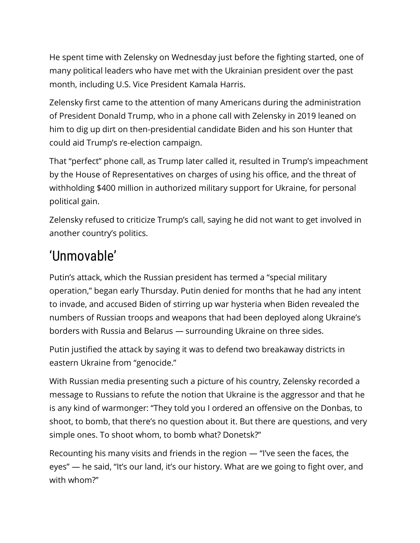He spent time with Zelensky on Wednesday just before the fighting started, one of many political leaders who have met with the Ukrainian president over the past month, including U.S. Vice President Kamala Harris.

Zelensky first came to the attention of many Americans during the administration of President Donald Trump, who in a phone call with Zelensky in 2019 leaned on him to dig up dirt on then-presidential candidate Biden and his son Hunter that could aid Trump's re-election campaign.

That "perfect" phone call, as Trump later called it, resulted in Trump's impeachment by the House of Representatives on charges of using his office, and the threat of withholding \$400 million in authorized military support for Ukraine, for personal political gain.

Zelensky refused to criticize Trump's call, saying he did not want to get involved in another country's politics.

## 'Unmovable'

Putin's attack, which the Russian president has termed a "special military operation," began early Thursday. Putin denied for months that he had any intent to invade, and accused Biden of stirring up war hysteria when Biden revealed the numbers of Russian troops and weapons that had been deployed along Ukraine's borders with Russia and Belarus — surrounding Ukraine on three sides.

Putin justified the attack by saying it was to defend two breakaway districts in eastern Ukraine from "genocide."

With Russian media presenting such a picture of his country, Zelensky recorded a message to Russians to refute the notion that Ukraine is the aggressor and that he is any kind of warmonger: "They told you I ordered an offensive on the Donbas, to shoot, to bomb, that there's no question about it. But there are questions, and very simple ones. To shoot whom, to bomb what? Donetsk?"

Recounting his many visits and friends in the region — "I've seen the faces, the eyes" — he said, "It's our land, it's our history. What are we going to fight over, and with whom?"